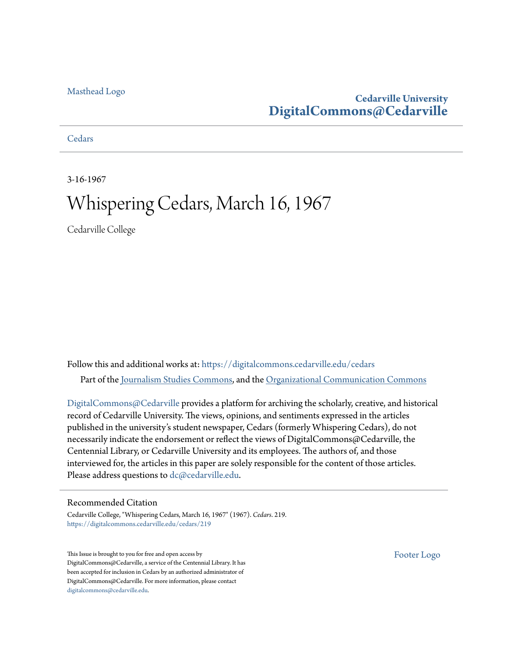### [Masthead Logo](http://www.cedarville.edu/?utm_source=digitalcommons.cedarville.edu%2Fcedars%2F219&utm_medium=PDF&utm_campaign=PDFCoverPages)

### **Cedarville University [DigitalCommons@Cedarville](https://digitalcommons.cedarville.edu?utm_source=digitalcommons.cedarville.edu%2Fcedars%2F219&utm_medium=PDF&utm_campaign=PDFCoverPages)**

**[Cedars](https://digitalcommons.cedarville.edu/cedars?utm_source=digitalcommons.cedarville.edu%2Fcedars%2F219&utm_medium=PDF&utm_campaign=PDFCoverPages)** 

3-16-1967

# Whispering Cedars, March 16, 1967

Cedarville College

Follow this and additional works at: [https://digitalcommons.cedarville.edu/cedars](https://digitalcommons.cedarville.edu/cedars?utm_source=digitalcommons.cedarville.edu%2Fcedars%2F219&utm_medium=PDF&utm_campaign=PDFCoverPages) Part of the [Journalism Studies Commons](http://network.bepress.com/hgg/discipline/333?utm_source=digitalcommons.cedarville.edu%2Fcedars%2F219&utm_medium=PDF&utm_campaign=PDFCoverPages), and the [Organizational Communication Commons](http://network.bepress.com/hgg/discipline/335?utm_source=digitalcommons.cedarville.edu%2Fcedars%2F219&utm_medium=PDF&utm_campaign=PDFCoverPages)

[DigitalCommons@Cedarville](http://digitalcommons.cedarville.edu/) provides a platform for archiving the scholarly, creative, and historical record of Cedarville University. The views, opinions, and sentiments expressed in the articles published in the university's student newspaper, Cedars (formerly Whispering Cedars), do not necessarily indicate the endorsement or reflect the views of DigitalCommons@Cedarville, the Centennial Library, or Cedarville University and its employees. The authors of, and those interviewed for, the articles in this paper are solely responsible for the content of those articles. Please address questions to [dc@cedarville.edu.](mailto:dc@cedarville.edu)

### Recommended Citation

Cedarville College, "Whispering Cedars, March 16, 1967" (1967). *Cedars*. 219. [https://digitalcommons.cedarville.edu/cedars/219](https://digitalcommons.cedarville.edu/cedars/219?utm_source=digitalcommons.cedarville.edu%2Fcedars%2F219&utm_medium=PDF&utm_campaign=PDFCoverPages)

This Issue is brought to you for free and open access by DigitalCommons@Cedarville, a service of the Centennial Library. It has been accepted for inclusion in Cedars by an authorized administrator of DigitalCommons@Cedarville. For more information, please contact [digitalcommons@cedarville.edu](mailto:digitalcommons@cedarville.edu).

[Footer Logo](http://www.cedarville.edu/Academics/Library.aspx?utm_source=digitalcommons.cedarville.edu%2Fcedars%2F219&utm_medium=PDF&utm_campaign=PDFCoverPages)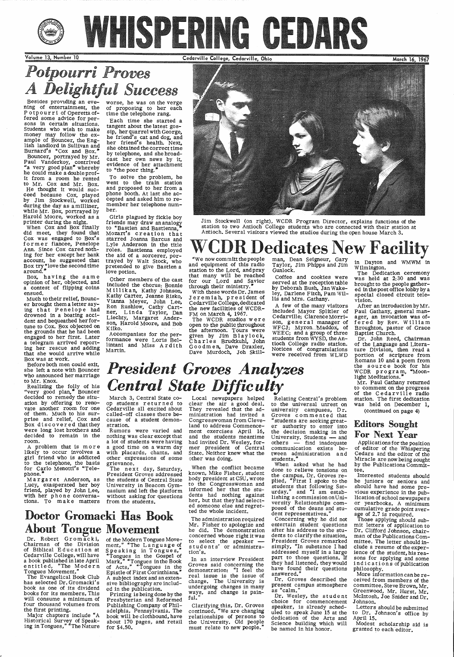

### Volume 13 Number 10

# *Potpourri Proves*   $A$  *Delightful Success*

Cedarville College, Cedarville, Ohio

Besides providing an eve- worse, he was on the verge ning of entertainment, the Potpourri of Operetta of fered some advice for persons in certain situations. Students who wish to make money may follow the example of Bouncer, the English landlord in Sullivan and Burnard's "Cox and Box."

March 16, 1967

printer during the night. When Cox and Box finally did meet, they found that Cox was engaged to Box's former fiancee, Penelope Ann. Since Cox cared nothing for her except her bank account, he suggested that Box try "love the second time<br>around. "

 Bouncer, portrayed by Mr. Paul vanderkoy, contrived "a very good plan• whereby he could make a double profit from a room he rented to Mr. Cox and Mr. Box. He thought it would succeed because Cox, played by Jim Stockwell, worked during the day as a milliner,<br>while Mr. Box, portrayed by while Mr. Box, portrayed by Harold Moore, worked as <sup>a</sup>

Box, having the same opinion of her, objected, and a contest of flipping coins ensued.

Much to their relief, Bounc-<br>er brought them a letter saying that Penelope had drowned in a boating accident and bequeathed her for-<br>tune to Cox. Box objected on the grounds that he had been engaged to her first. Later<br>a telegram arrived reporting her rescue and adding that she would arrive while Box was at work.

worse, he was on the verge<br>of proposing to her each time the telephone rang.

Each time she started a tangent about the latest gos-<br>sip, her quarrel with George, he friend's cat and dog, and her friend's health. Next, she obtained the correct time by telephone, and she broad-<br>cast her own news by it, cast her own news by it, evidence of her attachment to "the poor thing."

Accompanists for the performance were Loris Bellintani and Miss Ardith Martin.



To solve the problem, he went to the train station and proposed to her from <sup>a</sup> phone booth. At last she accepted and asked him to remember her telephone number.

Girls plagued by fickle boy friends may draw an analogy to "Bastien and Bastienna, Mozart's creation that starred Joanna Barcus and Lyle Anderson in the title the aid of a sorcerer, portrayed by Walt Stock, who pretended to give Bastien <sup>a</sup> love potion.

Realizing the folly of his<br>"very good plan," Bouncer decided to remedy the situation by offering to renovate another room for one of them. Much to his surprise and relief, Cox and Box discovered thatthey were long lost brothers and, decided to remain in the room.

A problem that is more likely to occur involves <sup>a</sup> girl friend who is addicted to the telephone, the basis for Carlo Menotti's "Telephone.

# *President Groves Analyzes*   $Central State Difficulty$

Romans 10 and a poem from the source book for his<br>WCDR program, "Moon-<br>light Meditations."

Other members of the cast included the chorus: Bonnie Millikan, Kathy Johnson, Kathy Carter, Jeanne Risko, Vianna Meyer, John Lee, Ron Rushlow, Cathy Cartner, Linda Taylor, Dan Liechty, Margaret Anderson, Harold Moore, and Bob Kilko.

Jim Stockwell (on right), WCDR Program Director, explains functions of the station to two Antioch College student.s who are connected with their station at Antioch. Several visitors viewed the studios during the open house March 3.

# WCDRDedicator Search New Facility<br>and equipment of this radio Taylor, Jim Phipps and Jim in Dayton and WMWM in<br>station to the Lord, and pray Gunlock.<br>that many will be reached Coffee and cookies were The Dedication ceremon

open to the public throughout WFCJ; Myron Maddox, of Broughton, past<br>the afternoon. Tours were WEEC; and a group of three Baptist Church.

Cedarville College, dedicated A few of the many visitors After an introduction by Mr.<br>the new facilities of WCDR-<br>FM on March 4, 1967. given by Jim Blaylock, WEEC; and a group of three Baptist Church.<br>Charles Brudtkuhl, John tioch College radio station. of the Language and Litera-Goodmen, Dave Draxler, Notices of congratulations ture Division, then read a

was held at 2:30 and was for our Lord and Savior<br>through their ministry.<sup>7</sup> by Deborah Bush, Jan Wake-<br>With these words Dr. James<br>Jeremiah, president of lis and Mrs. Gathany.<br>Jeremiah, president of lis and Mrs. Gathany.<br>Cedarville College, dedicat

FM on March 4, 1967.<br>The WCDR studios were son, general manager of fered by Rev. William<br>open to the public throughout WFCJ; Myron Maddox, of Broughton, pastor of Grace

When the conflict became known, Mike Fisher, student body president at CSU, wrote to the Congresswoman and informed her that the students had nothing against her, but that theyhad select ed someone else and regretted the whole incident.

The administration required<br>Mr. Fisher to apologize and Mr. Fisher to apologize and<br>he did. The demonstration concerned whose right it was to select the speaker <del>-</del><br>students' or administration's.

In an interview President Groves said concerning the Groves said concerning the<br>demonstration: "I feel the real issue is the issue of change. The University is undergoing changes in many ways, and change is painful.

Relating Central's problem to the universal unrest on university campuses, Dr. Groves commented that "students are seeking greater authority to enter into the decision making in the University. Students - and others - find inadequate communication exists between administration and students."

lishing a commission on University Relationships com posed of the deans and student representatives.

Before both men could exit, she left a note with Bouncer who announced her marriage to Mr. Knox.

> Dr. Groves described the present campus atmosphere<br>as "calm."

Applications for the position<br>of editor of the Whispering of editor of the Whispering Cedars and the editor of the Miracle are now being sought by the Publications Committee.

Margaret Anderson, as Lucy, exasperated her boy friend, played by John Lee, with her phone conversa-

March 3, Central State coop students returned to Cedarville all excited about called-off classes there because of a student demonstration.

 Rumors were varied and nothing was clear except that a lot of students were having<br>a good time on a warm day with placards, chants, and other expressions of some grievance.

tions. To make matters from the students.

# Doctor Gromacki Has Book About Tongue Movement

Dr. Robert Gromacki, of the Modern Tongues Move-<br>Chairman of the Division ment," "The Language of<br>of Biblical Education at Speaking in Tongues,"<br>Cedarville College, will have "Tongues in the Gospel of<br>a book published in l

entitled, "The Modern of Acts," "Tongues in the<br>Tongues Movement." Epistle of First Corinthians."<br>The Evangelical Book Club A subject index and an exten-<br>has selected Dr. Gromacki's sive bibliography are includ-<br>book as o

The next day, Saturday, President Groves addressed the students of Central State University in Beacom Gym- nasium and left the platform without asking for questions Local newspapers helped clear the air a good deal. They revealed that the administration had invited a Congresswoman from Cleveland to address Commencement exercises April 16, and the students meantime had invited Dr. Wesley, former president of Central State. Neither knew what the other was doing.

Mr. Paul Gathany returned to comment on the progress of the Cedarville radio station. The first dedication was held on December 1, (continued on page 4)

Clarifying this, Dr. Groves continued, "We are changing relationships of persons to the University. Old people must relate to new people."

When asked what he had done to relieve tensions on the campus, Dr. Groves replied, "First I spoke to the students that following Saturday." and "I am estab-

Concerning why he did not entertain student questions after his address to the students to clarify the situation, President Groves remarked simply, "In substance I had addressed myself in a large<br>part to those questions. If they had listened, they would have found their questions answered."

Dr. Wesley, the student choice for commencement speaker, is already scheduled to speak June 15 at the dedication of the Arts and Science building which will be named in his honor.

# Editors Sought

### For Next Year

Interested students should be juniors or seniors and should have had some previous experience in the publication of school newspapers or yearbooks. A minimum cumulative grade point average of 2.7 is required. Those applying should submit letters of application to Dr. Clifford Johnson, chairman of the Publications Committee. The letter should include a resume of the experience of the student, his reasons for applying and some indications of publication philosophy. More information can be received from members of the committee, Steve Brown, Mr. Greenwood, Mr. Hurst, Mr. Mcintosh, Joe Snider and Dr. Johnson.

Letters should be submitted to Dr. Johnson's office by April 15.

Modest scholarship aid is granted to each editor.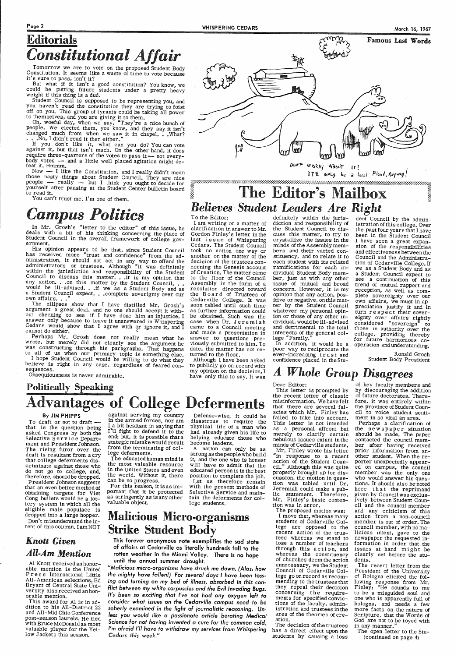Tomorrow we are to vote on the proposed Student Body Constitution. It seems like a waste of time to vote because it's sure to pass, isn't it?<br>But what if it isn't a good constitution? You know, we

could be putting future students under a pretty heavy weight if this thing is a dud.

# Editorials *Constitutional Affair*

Student Council is supposed to be representing you, and you haven't read the constitution they are trying to foist you haven't read the constitution they are trying to foist off on you. This group of tyrants could be taking all power to themselves, and you are giving it to them. Oh, woeful day, when we say, "They're a nice bunch of

people. We elected them, you know, and they say it isn't changed much from when we saw it in chapel. • • What?  $\ldots$  . No, I didn't read it then either."

If you don't like it, what can you do? You can vote against it, but that isn't much. On the other hand, it does require three-quarters of the votes to pass it — not everybody votes -- and a little well placed agitation might de-<br>feat it. Hmmm.<br>Now -- I like the Constitution, and I really didn't mean

those nasty things about Student Council. They are nice people - really - but I think you ought to decide for yourself after pausing at the Student Center bulletin board to read it.

You can't trust me. I'm one of them.

# $Campus$  *Politics*

In Mr. Grosh's "letter to the editor" of this issue, he deals with a bit of his thinking concerning the place of Student Council in the overall framework of college gov- ernment.

His opinion appears to be that, since Student Council has received more "trust and confidence" from the administration, it should not act in any way to offend the<br>administrators or trustees. Although "it was definitely<br>within the jurisdiction and responsibility of the Student<br>Council to discuss this matter. . .it is my opinion would be ill-advised. . if we as a Student Body and as a Student Council expect. . . complete soverignty over our own affairs. . .

The ellipses show that I have distilled Mr. Grosh's argument a great deal, and no one should accept it without checking to see if I have done him an injustice. I answer only because to leave it unanswered in Whispering Cedars would show that I agree with or ignore it, and I cannot do either.

Perhaps Mr. Grosh does not really mean what he wrote, but merely did not clearly see the argument he was constructing through his paragraphs. That happens to all of us when our primary topic is something else.<br>I hope Student Council would be willing to do what they believe is right in any case, regardless of feared con-

to publicly go on record with my opinion on the decision, I<br>have only this to say. It was

This letter is prompted by the recent letter of classic misinformation. We have felt that there are several falacies which Mr. Finley has failed to take into account. This letter is not intended as a personal affront but merely to clarify certain nebulous issues extant in the minds of Cedarville students. Mr. Finley wrote his letter "in response to a recent action of the Student Council." Although this was quite properly brought up for dis tion was tabled until Dr. Jeremiah could make a pub-<br>lic statement. Therefore,

sequences. Obsequiousness is never admirable.

Famous Last Words ∞ VΜ. *DON'T* WORRY ABOUT IT!<br>IT'll only be a local Flood, Anyway!

# IT'l' 'only be a local Flood, Anymay!<br>The Editor's Mailbox **Believes Student Leaders Are Right**<br>To the Editor: definitely within the juris- dent Coun<br>I am writing on a matter of diction and responsibility of istration of

To the Editor; the insure the initial y within the juris-<br>
I am writing on a matter of diction and responsibility of terration (this college. Over the past four clear<br>
Carrification in answer to Mr. the Student Council to

By JIM PHIPPS against serving my country Defense-wise, it could be failed to take into account, ment in so vital an area. against serving my country in the armed forces, nor am I'll fight to defend it to the end; but, it is possible that a stategic mistake would result from the terminating of col- lege deferments.

> For this reason, it is as important that it be protected as stringently as is any other valuable object.

disastrous to require the physical life of a man who had already given his life to helping educate those who become leaders.

Let us therefore remain with the present methods of Selective Service and maintain the deferments for college students.

# Politically Speaking Advantages of College Deferments

To draft or not to draft that is the question being asked Congress by both the Selective Service Department and President Johnson. The rising furor over the draft is resultant from a cry that college deferments discriminate against those who<br>do not go to college, and,<br>therefore, should be dropped.<br>President Johnson suggests<br>that an even better method of

### Dear Editor:

have only this to say. It was *A Whole Group Disagrees*  of key faculty members and by discouraging the addition of future doctorates. Therefore, it was entirely within the province of Student Council to voice student senti-

obtaining targets for Viet Cong bullets would be a lottery system in which all the<br>eligible male populace is dropped into a large hopper. Don't misunderstand the intent of this column. I am NOT

### *Knott Given All-Am Mention*

Al Knott received an honorable mention is the United Press International Little All-American selections. Ed Bryant of Central State University also received an honorable mention.

This award for Al is in addition to his All-District 22 and All-Mid Ohio Conference post-season laurels. He tied with Bruce McDonald as most valuable player for the Yellow Jackets this season.

The educated human mind is the most valuable resource in the United States and even the world. Without it, there can be no progress.

A nation can only be as strong as the people who build it, and the one who is honest will have to admit that the educated person is in the best

## Malicious Micro-organisms Strike Student Body

This forever anonymous note exemplifies the sad state of affairs at Cedarville as literally hundreds foll to the rotten weather in the Miami Valley. There is no hope until the annual summer drought.

*"Malicious* micro-organisms *have struck* me *down. (Alas, how the mighty have fallen!) For* several *days I have* been *toss*ing *and turning* on *my* bed *of illness,* absorbed *in this* con*flict between my white corpuscles and* the *Evil Invading Bugs. It's* been *so exciting that I've not had* any oxygen *left* to *consider what issues* on *the Cedarville campus need* to *be soberly examined* in *the light of journalistic* reasoning. *Unless you would like a passionate* article *berating Medical Science* for *not having invented a* cure for *the* common *cold, I'm* afraid *I'll have* to *withdraw* my *services* from *Whispering Cedars this week."* 

Mr. Finley's basic contention was in error.

The proposed motion was: <sup>I</sup>move that, whereas many students of Cedarville College are opposed to the recent action of the trustees whereas we stand to lose a number of teachers through this action, and<br>whereas the constituency of churches deem the action unnecessary, we the Student Council of Cedarville College go on record as recommending to the trustees that they repeal their decision concerning the requirements for specified convic tions of the faculty, admin- istration and trustees in the area of the theories of creation.

The decision of the trustees has a direct effect upon the students by causing a loss

Perhaps a clarification of the newspaper situation<br>should be made. The paper contacted the council member after having received prior information from another student. When the reporter unexpectedly appear-<br>ed on campus, the council<br>member was the only one who would answer his ques-<br>tions. It should also be noted here that the reprimand given by Council was exciusively between Student Council and the council member and any criticism of this action from a non-council member is out of order. The council member, with no malicious intent, gave to the newspaper the requested in- formation in order that the issues at hand might be clearly set before the students. The recent letter from the<br>President of the University of Bologna elicited the fol-<br>lowing response from Mr. Finley: "He sounds to me to be a misguided soul and one who is apparently full of bologna, and needs a few more facts on the nature of Scripture, that the Words of God are not to be toyed with<br>in any manner." The open letter to the Stu- ( continued on page 4)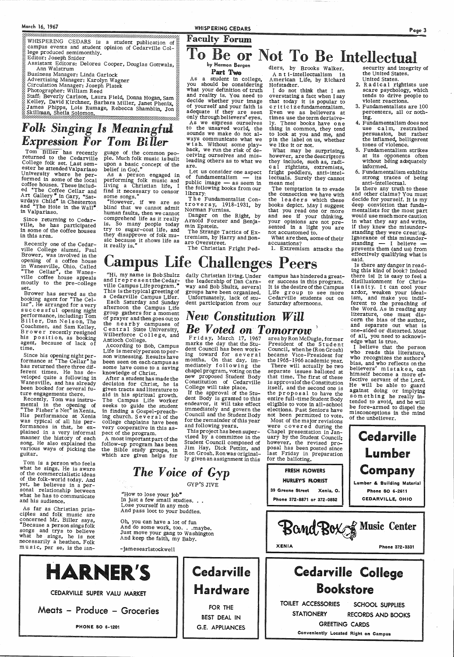### Page 3

**EXECUTE THE EXECUTE THE EXECUTE THE EXECUTE THE EXECUTE THE EXECUTE THE EXECUTE THE EXECUTION OF SET OF UP IN THE EXECUTION** campus events and student opinion of Cedarville Col- $\frac{8}{20}$ lege produced semimonthly.<br>Editor: Joseph Snider

- Editor: Joseph Snider :: Delores Cooper, Douglas Gottwals,  $\frac{1}{2}$  **De or Not To Be Intellectual in the United States.**<br>Assistant Editors: Delores Cooper, Douglas Gottwals, in the United States, in the United States.
- Business Manager: Linda Garlock
- Advertising Manager: Karolyn Wagner<br>Circulation Manager: Joseph Platek

Photographer: William Reed<br>Staff: Beverly Carlson, Laura Field, Donna Hogan, Sam ::: Kelley, David Kirchner, Barbara Miller, Janet Phenix, ::<br>James Phipps, Lois Rumage, Rebecca Shamblin, Jon Skillman, Sheila Solomon.

\_:.;.:--=·=·=·=·=·=·=·=·=·=·=·=·=·=·=·=·=·=·=·=·=·=·=·=-:·=·=·=·=·=·=·=·-···-·············~-·.·.·.\_:\_.\_.\_.\_.\_.\_.\_.\_. -·-·- .• :.: ----·- :-:-: ---·=·=·=·=·= --:-: -·.: -

### by Harmon Bergen Part Two

 As a student in college, you should be considering what your definition of truth and reality is. You need to decide whether your image<br>of yourself and your faith is<br>adequate if they are seen<br>only through believers' eyes.<br>As we express ourselves to the unsaved world, the sounds we make do not always communicate what we<br>wish. Without some playback, we run the risk of deceiving ourselves and misleading others as to what we are. A A a sender in college to the sender of the sender of the sender of the sender in the college to the sender of the sender of the sender of the sender of the sender of the sender of the sender of the sender of the sender

## *Folk Singing ls Meaningful Expression For Tom Biller*

Tom Biller has recently guage of the common peo-<br>returned to the Cedarville ple. Much folk music is built<br>College folk set. Last sem-<br>upon a basic concept of the<br>ester he attended Valpariaso belief in God."<br>University wher ed "The Coffee Cellar and find it necessary to censor<br>Art Gallery" in Gary, "Sat-<br>urdays Child" in Chesterton "However, if we are so<br>and "The Hole in the Wall" blind that we cannot admit<br>in Valpariaso. human faults, then w

Let us consider one aspect of fundamentalism  $-$  its public image - as seem in<br>the following books from our library:

The Fundamentalist Controversy,  $1918-1931$ , by Norman Furniss.

Since returning to Cedarville, he has participated in some of the coffee houses in this area.

comprehend life as it really is. So many people today try to sugar-coat life, and they disapprove of folk mu sic because it shows life as it really is."

ville College alumni, Paul<br>Brower, was involved in the opening of a coffee house in Wanesville, Ohio. Called "The Cellar", the Wanesville coffee house appeals mostly to the pre-college set.

"Hi, my name is Bob Shultz and Irepresent the Cedar-<br>ville Campus Life program." This is the typical greeting of a Cedarville Campus Lifer.<br>Each Saturday and Sunday

Danger on the Right, by Arnold Forster and Benja- min Epstein.

The Strange Tactics of Extremism, by Harry and Bonaro Overstreet.

the leadership of Dan Caraway and Bob Shultz, several groups have been organized. Unfortunately, lack of stu-

Campus Life Challenges Peers

The Christian Fright Ped-

dlers, by Brooks Walker. A n t i-intellectualism in American Life, by Richard Hofstadter.

I do not think that I am overstating a fact when <sup>I</sup>say that today it is popular to criticize fundamentalism. Even we as believers at times use the term derisive ly. These books have one thing in common, they tend to look at you and me, and pin the label on us, whether we like it or not.

afternoon the Campus Life group gathers for a moment What may be surprising, however, are the descriptors they include, such as, radi cal rightists, extremists, fright peddlers, anti-intel lectuals. Surely they cannot mean me!

Tom is a person who feels what he sings. He is aware of the commercialistic ideas of the folk-world today. And<br>yet, he believes in a personal relationship between what he has to communicate

The temptation is to evade the connection we have with the leaders which these books depict. May I suggest that you read one or more and see if your thinking,<br>your opinions are not presented in a light you are not accustomed to.

What are then, some of their accusations?

- 
- 
- 
- 
- 

As far as Christian principles and folk music are concerned Mr. Biller says, "Because a person sings folk songs and trys to believe what he sings, he is not necessarily a heathen. Folk music, per se, is the 1an-

H/

If the approval of the Stu for the remainder of this year<br>and following years.<br>This project has been super-

ly given an assignment in this

In just a few small studies. . . Lose yourself in any mob And pass loot to your buddies.

Oh, you can have a lot of fun<br>And do some work, too...maybe. Just move your gang to Washington<br>And keep the faith, my Baby.

Is there any truth to these and other claims? You must decide for yourself. It is my deep conviction that fundamentalists for the most part would use much more caution in what they say and write,<br>if they knew the misunderstanding they were creating.<br>Ignorance of this misunderstanding - I believe prevents them (and us) from effectively qualifying what is said.

Is there any danger in read- ing this kind of book? Indeed there isl It is easy to feel a disillusionment for Christianity. It can cool your ardor, weaken your ideal-<br>ism, and make you indif-<br>ferent to the preaching of<br>the Word. As in reading any<br>literature, one must discern the bias of the author, and separate out what is one-sided or distorted. Most of all, you need to acknowledge what is true.

 Brower has served as the booking agent for "The Cellar". He arranged for a very<br>successful opening night performance, including: Tom<br>Biller, Dan Nelson, The Coachmen, and Sam Kelley.<br>B r ower recently resigned<br>his position, as booking agent, because of lack of time.

'S || Cedarville CEDARVILLE SUPER VALU MARKET **Hardware** FOR THE BEST DEAL IN G.E. APPLIANCES Phone 372-8871 or 372-0852 CEDARVILLE, OHIO Bond Box & Music Center XENIA Phone 372·3331 Cedarville College Bookstore TOILET ACCESSORIES SCHOOL SUPPLIES STATIONERY RECORDS AND BOOKS GREETING CARDS Conveniently Located Right on Campus

dent participation from our Saturday afternoons. daily Christian living. Under campus has hindered a greater success in this program.<br>It is the desire of the Campus Life group to see more Cedarville students out on

### group gathers for a moment<br>of prayer and then goes out to<br>the nearby campuses of<br>Central State University, **Be Voted on Tomorrow**<br>Wilberforce College, and Friday, March 17, 1967 areaby Ron McDugle, former<br>Antioch College. Friday, March 17, 1967 President of the Student

Since his opening night per- formance at "The Cellar" he has returned there three different times. He has de-Wanesville, and has already been booked for several future engagements there.

Recently, Tom was instrumental in the opening of<br>"The-Fisher's Net"in-Xenia. His performance at Xenia<br>was typical of all his performances in that, he ex<sup>p</sup>lained in <sup>a</sup>very informal manner the history of each<br>song. He also explained the various ways of picking the guitar.

and his audience.

According to Bob, Campus Life is merely person to person witnessing. Results have been seen on each campus as some have come to a saving knowledge of Christ. After a student has made the decision for Christ, he is given tracts and literature to<br>aid in his spiritual growth. The Campus Life worker seeks to guide the student in finding a Gospel-preach- ing church. Sever a 1 of the college chaplains have been very cooperative in this as-

pect of the program.

<sup>A</sup>most important part of the follow-up program has been the Bible study groups, in which are given helps for

marks the day that the Student Council has been working toward for several months. On that day, im-<br>mediately following the<br>chapel program, voting on the<br>new proposed Student Body new proposed Student Body Constitution of Cedarville College will take place.

dent Body is granted to this endeavor, it will take effect immediately and govern the

vised by a committee in the<br>Student Council composed of Jim Hay, Dick Pettitt, and<br>Ron Grosh. Ron was original-

*The Voice of Gyp*  GYP'S JIVE

"How to lose your job"

Meats - Produce - Groceries

PHONE SO 6·1201

Council, when he (Ron Grosh) became Vice-President for

the 1965-1966 academic year. There will actually be two separate issues- balloted at that time. The first of these is approvalof the Constitution itself, and the second one is

the proposal to have the entire full-time Student Body eligible to vote in all-school elections. Past Seniors have not been permitted to vote.

Most of the major revisions<br>were covered during the Chapel presentation in January by the Student Council; however, the revised pro-<br>posal has been posted since last Friday in preparation<br>for the balloting.

# FRESH FLOWERS HURLEY'S RORIST

39 Greene Street Xenia, O.

<sup>I</sup>believe that the person who reads this literature, who recognizes the authors• bias, and who reflects on the believers' mistakes, can himself become a more effective servant of the Lord. He will be able to guard<br>against doing or implying<br>something he really in-<br>tended to avoid, and he will be fore-armed to dispel the<br>be fore-armed to dispel the<br>misconceptions in the mind of the unbeliever.



<sup>-</sup>jamesearlstockwell